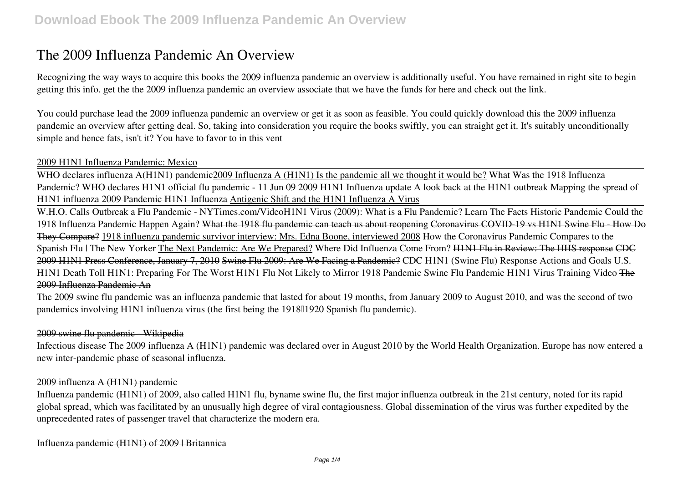# **The 2009 Influenza Pandemic An Overview**

Recognizing the way ways to acquire this books **the 2009 influenza pandemic an overview** is additionally useful. You have remained in right site to begin getting this info. get the the 2009 influenza pandemic an overview associate that we have the funds for here and check out the link.

You could purchase lead the 2009 influenza pandemic an overview or get it as soon as feasible. You could quickly download this the 2009 influenza pandemic an overview after getting deal. So, taking into consideration you require the books swiftly, you can straight get it. It's suitably unconditionally simple and hence fats, isn't it? You have to favor to in this vent

# 2009 H1N1 Influenza Pandemic: Mexico

WHO declares influenza A(H1N1) pandemic2009 Influenza A (H1N1) Is the pandemic all we thought it would be? *What Was the 1918 Influenza Pandemic? WHO declares H1N1 official flu pandemic - 11 Jun 09* 2009 H1N1 Influenza update *A look back at the H1N1 outbreak Mapping the spread of H1N1 influenza* 2009 Pandemic H1N1 Influenza Antigenic Shift and the H1N1 Influenza A Virus

W.H.O. Calls Outbreak a Flu Pandemic - NYTimes.com/Video**H1N1 Virus (2009): What is a Flu Pandemic? Learn The Facts** Historic Pandemic *Could the 1918 Influenza Pandemic Happen Again?* What the 1918 flu pandemic can teach us about reopening Coronavirus COVID-19 vs H1N1 Swine Flu - How Do They Compare? 1918 influenza pandemic survivor interview: Mrs. Edna Boone, interviewed 2008 **How the Coronavirus Pandemic Compares to the Spanish Flu | The New Yorker** The Next Pandemic: Are We Prepared? *Where Did Influenza Come From?* H1N1 Flu in Review: The HHS response CDC 2009 H1N1 Press Conference, January 7, 2010 Swine Flu 2009: Are We Facing a Pandemic? **CDC H1N1 (Swine Flu) Response Actions and Goals U.S. H1N1 Death Toll** H1N1: Preparing For The Worst H1N1 Flu Not Likely to Mirror 1918 Pandemic Swine Flu Pandemic H1N1 Virus Training Video The 2009 Influenza Pandemic An

The 2009 swine flu pandemic was an influenza pandemic that lasted for about 19 months, from January 2009 to August 2010, and was the second of two pandemics involving H1N1 influenza virus (the first being the 1918<sup>[1920</sup> Spanish flu pandemic).

## 2009 swine flu pandemic - Wikipedia

Infectious disease The 2009 influenza A (H1N1) pandemic was declared over in August 2010 by the World Health Organization. Europe has now entered a new inter-pandemic phase of seasonal influenza.

#### 2009 influenza A (H1N1) pandemic

Influenza pandemic (H1N1) of 2009, also called H1N1 flu, byname swine flu, the first major influenza outbreak in the 21st century, noted for its rapid global spread, which was facilitated by an unusually high degree of viral contagiousness. Global dissemination of the virus was further expedited by the unprecedented rates of passenger travel that characterize the modern era.

## Influenza pandemic (H1N1) of 2009 | Britannica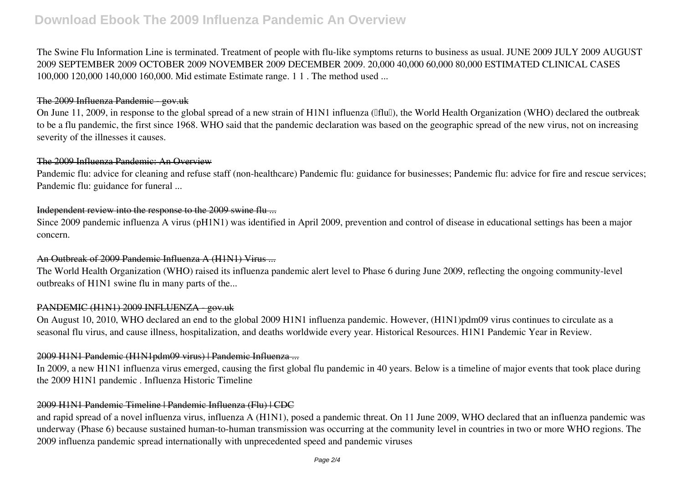The Swine Flu Information Line is terminated. Treatment of people with flu-like symptoms returns to business as usual. JUNE 2009 JULY 2009 AUGUST 2009 SEPTEMBER 2009 OCTOBER 2009 NOVEMBER 2009 DECEMBER 2009. 20,000 40,000 60,000 80,000 ESTIMATED CLINICAL CASES 100,000 120,000 140,000 160,000. Mid estimate Estimate range. 1 1 . The method used ...

### The 2009 Influenza Pandemic - gov.uk

On June 11, 2009, in response to the global spread of a new strain of H1N1 influenza (IfluI), the World Health Organization (WHO) declared the outbreak to be a flu pandemic, the first since 1968. WHO said that the pandemic declaration was based on the geographic spread of the new virus, not on increasing severity of the illnesses it causes.

# The 2009 Influenza Pandemic: An Overview

Pandemic flu: advice for cleaning and refuse staff (non-healthcare) Pandemic flu: guidance for businesses; Pandemic flu: advice for fire and rescue services; Pandemic flu: guidance for funeral ...

## Independent review into the response to the 2009 swine flu ...

Since 2009 pandemic influenza A virus (pH1N1) was identified in April 2009, prevention and control of disease in educational settings has been a major concern.

## An Outbreak of 2009 Pandemic Influenza A (H1N1) Virus ...

The World Health Organization (WHO) raised its influenza pandemic alert level to Phase 6 during June 2009, reflecting the ongoing community-level outbreaks of H1N1 swine flu in many parts of the...

# PANDEMIC (H1N1) 2009 INFLUENZA - gov.uk

On August 10, 2010, WHO declared an end to the global 2009 H1N1 influenza pandemic. However, (H1N1)pdm09 virus continues to circulate as a seasonal flu virus, and cause illness, hospitalization, and deaths worldwide every year. Historical Resources. H1N1 Pandemic Year in Review.

## 2009 H1N1 Pandemic (H1N1pdm09 virus) | Pandemic Influenza ...

In 2009, a new H1N1 influenza virus emerged, causing the first global flu pandemic in 40 years. Below is a timeline of major events that took place during the 2009 H1N1 pandemic . Influenza Historic Timeline

# 2009 H1N1 Pandemic Timeline | Pandemic Influenza (Flu) | CDC

and rapid spread of a novel influenza virus, influenza A (H1N1), posed a pandemic threat. On 11 June 2009, WHO declared that an influenza pandemic was underway (Phase 6) because sustained human-to-human transmission was occurring at the community level in countries in two or more WHO regions. The 2009 influenza pandemic spread internationally with unprecedented speed and pandemic viruses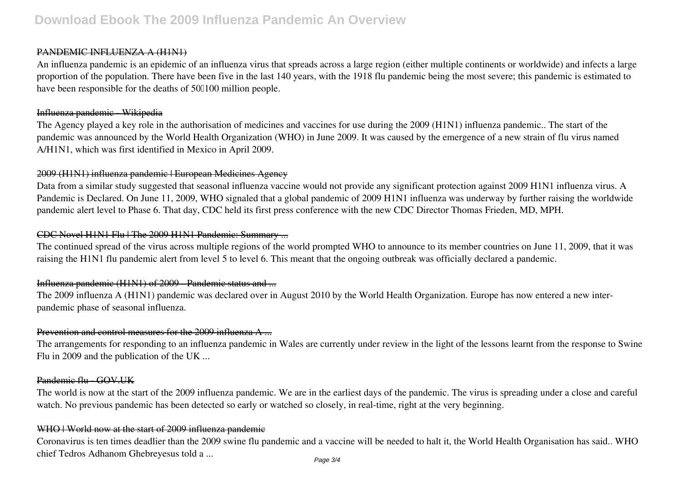#### PANDEMIC INFLUENZA A (H1N1)

An influenza pandemic is an epidemic of an influenza virus that spreads across a large region (either multiple continents or worldwide) and infects a large proportion of the population. There have been five in the last 140 years, with the 1918 flu pandemic being the most severe; this pandemic is estimated to have been responsible for the deaths of 500100 million people.

#### Influenza pandemic - Wikipedia

The Agency played a key role in the authorisation of medicines and vaccines for use during the 2009 (H1N1) influenza pandemic.. The start of the pandemic was announced by the World Health Organization (WHO) in June 2009. It was caused by the emergence of a new strain of flu virus named A/H1N1, which was first identified in Mexico in April 2009.

# 2009 (H1N1) influenza pandemic | European Medicines Agency

Data from a similar study suggested that seasonal influenza vaccine would not provide any significant protection against 2009 H1N1 influenza virus. A Pandemic is Declared. On June 11, 2009, WHO signaled that a global pandemic of 2009 H1N1 influenza was underway by further raising the worldwide pandemic alert level to Phase 6. That day, CDC held its first press conference with the new CDC Director Thomas Frieden, MD, MPH.

# CDC Novel H1N1 Flu | The 2009 H1N1 Pandemic: Summary ...

The continued spread of the virus across multiple regions of the world prompted WHO to announce to its member countries on June 11, 2009, that it was raising the H1N1 flu pandemic alert from level 5 to level 6. This meant that the ongoing outbreak was officially declared a pandemic.

## Influenza pandemic (H1N1) of 2009 Pandemic status and ...

The 2009 influenza A (H1N1) pandemic was declared over in August 2010 by the World Health Organization. Europe has now entered a new interpandemic phase of seasonal influenza.

## Prevention and control measures for the 2009 influenza A ...

The arrangements for responding to an influenza pandemic in Wales are currently under review in the light of the lessons learnt from the response to Swine Flu in 2009 and the publication of the UK ...

## Pandemic flu GOV.UK

The world is now at the start of the 2009 influenza pandemic. We are in the earliest days of the pandemic. The virus is spreading under a close and careful watch. No previous pandemic has been detected so early or watched so closely, in real-time, right at the very beginning.

#### WHO | World now at the start of 2009 influenza pandemic

Coronavirus is ten times deadlier than the 2009 swine flu pandemic and a vaccine will be needed to halt it, the World Health Organisation has said.. WHO chief Tedros Adhanom Ghebreyesus told a ... Page 3/4